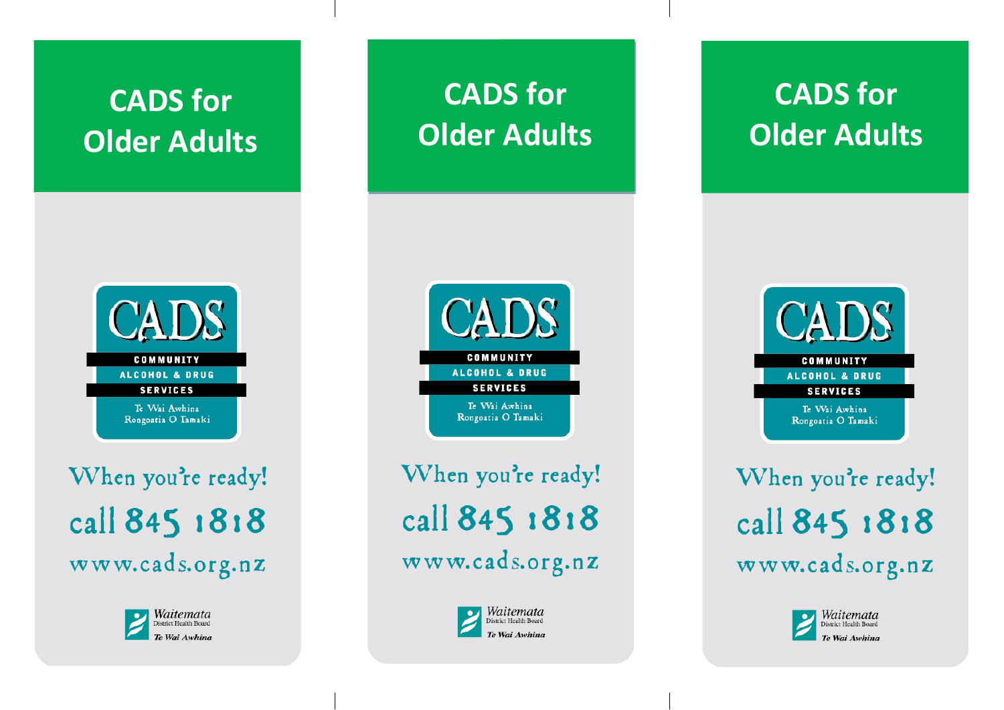## **CADS for Older Adults**

### **CADS** COMMUNITY ALCOHOL & DRUG **SERVICES** Te Wai Awhina Rongoatia O Tamaki

When you're ready! call 845 1818 www.cads.org.nz



# **CADS for Older Adults**



When you're ready! call 845 1818 www.cads.org.nz



# **CADS for Older Adults**



When you're ready! call 845 1818 www.cads.org.nz

> Waitemata District Health Board Te Wai Awhina